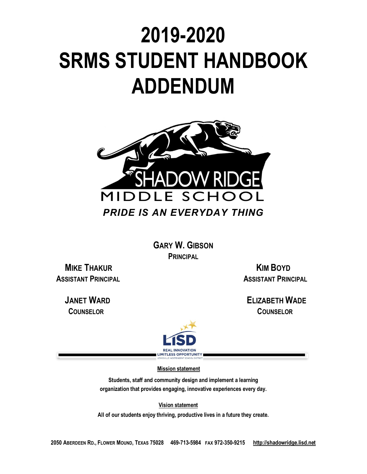# **2019-2020 SRMS STUDENT HANDBOOK ADDENDUM**



**GARY W. GIBSON PRINCIPAL**

**MIKE THAKUR KIM BOYD** 

**ASSISTANT PRINCIPAL ASSISTANT PRINCIPAL** 

 **JANET WARD ELIZABETH WADE COUNSELOR COUNSELOR** 



 **Mission statement**

**Students, staff and community design and implement a learning organization that provides engaging, innovative experiences every day.**

 **Vision statement**

**All of our students enjoy thriving, productive lives in a future they create.**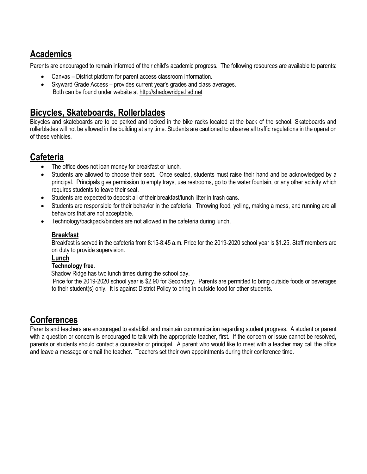### **Academics**

Parents are encouraged to remain informed of their child's academic progress. The following resources are available to parents:

- Canvas District platform for parent access classroom information.
- Skyward Grade Access provides current year's grades and class averages. Both can be found under website at http://shadowridge.lisd.net

## **Bicycles, Skateboards, Rollerblades**

Bicycles and skateboards are to be parked and locked in the bike racks located at the back of the school. Skateboards and rollerblades will not be allowed in the building at any time. Students are cautioned to observe all traffic regulations in the operation of these vehicles.

#### **Cafeteria**

- The office does not loan money for breakfast or lunch.
- Students are allowed to choose their seat. Once seated, students must raise their hand and be acknowledged by a principal. Principals give permission to empty trays, use restrooms, go to the water fountain, or any other activity which requires students to leave their seat.
- Students are expected to deposit all of their breakfast/lunch litter in trash cans.
- Students are responsible for their behavior in the cafeteria. Throwing food, yelling, making a mess, and running are all behaviors that are not acceptable.
- Technology/backpack/binders are not allowed in the cafeteria during lunch.

#### **Breakfast**

Breakfast is served in the cafeteria from 8:15-8:45 a.m. Price for the 2019-2020 school year is \$1.25. Staff members are on duty to provide supervision.

#### **Lunch**

#### **Technology free**.

Shadow Ridge has two lunch times during the school day.

 Price for the 2019-2020 school year is \$2.90 for Secondary. Parents are permitted to bring outside foods or beverages to their student(s) only. It is against District Policy to bring in outside food for other students.

## **Conferences**

Parents and teachers are encouraged to establish and maintain communication regarding student progress. A student or parent with a question or concern is encouraged to talk with the appropriate teacher, first. If the concern or issue cannot be resolved, parents or students should contact a counselor or principal. A parent who would like to meet with a teacher may call the office and leave a message or email the teacher. Teachers set their own appointments during their conference time.